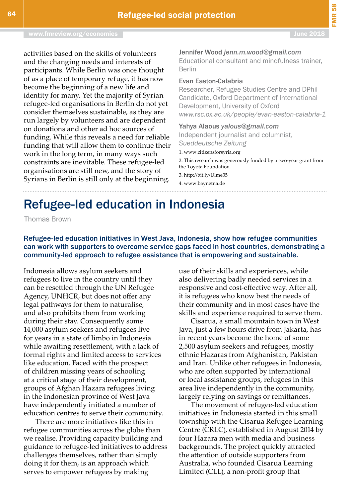## Refugee-led education in Indonesia

Thomas Brown

Refugee-led education initiatives in West Java, Indonesia, show how refugee communities can work with supporters to overcome service gaps faced in host countries, demonstrating a community-led approach to refugee assistance that is empowering and sustainable.

Indonesia allows asylum seekers and refugees to live in the country until they can be resettled through the UN Refugee Agency, UNHCR, but does not offer any legal pathways for them to naturalise, and also prohibits them from working during their stay. Consequently some 14,000 asylum seekers and refugees live for years in a state of limbo in Indonesia while awaiting resettlement, with a lack of formal rights and limited access to services like education. Faced with the prospect of children missing years of schooling at a critical stage of their development, groups of Afghan Hazara refugees living in the Indonesian province of West Java have independently initiated a number of education centres to serve their community.

There are more initiatives like this in refugee communities across the globe than we realise. Providing capacity building and guidance to refugee-led initiatives to address challenges themselves, rather than simply doing it for them, is an approach which serves to empower refugees by making

use of their skills and experiences, while also delivering badly needed services in a responsive and cost-effective way. After all, it is refugees who know best the needs of their community and in most cases have the skills and experience required to serve them.

Cisarua, a small mountain town in West Java, just a few hours drive from Jakarta, has in recent years become the home of some 2,500 asylum seekers and refugees, mostly ethnic Hazaras from Afghanistan, Pakistan and Iran. Unlike other refugees in Indonesia, who are often supported by international or local assistance groups, refugees in this area live independently in the community, largely relying on savings or remittances.

The movement of refugee-led education initiatives in Indonesia started in this small township with the Cisarua Refugee Learning Centre (CRLC), established in August 2014 by four Hazara men with media and business backgrounds. The project quickly attracted the attention of outside supporters from Australia, who founded Cisarua Learning Limited (CLL), a non-profit group that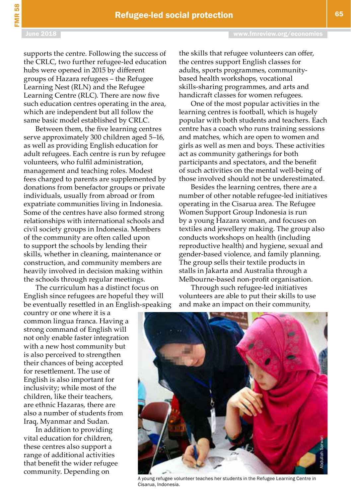supports the centre. Following the success of the CRLC, two further refugee-led education hubs were opened in 2015 by different groups of Hazara refugees – the Refugee Learning Nest (RLN) and the Refugee Learning Centre (RLC). There are now five such education centres operating in the area, which are independent but all follow the same basic model established by CRLC.

Between them, the five learning centres serve approximately 300 children aged 5–16, as well as providing English education for adult refugees. Each centre is run by refugee volunteers, who fulfil administration, management and teaching roles. Modest fees charged to parents are supplemented by donations from benefactor groups or private individuals, usually from abroad or from expatriate communities living in Indonesia. Some of the centres have also formed strong relationships with international schools and civil society groups in Indonesia. Members of the community are often called upon to support the schools by lending their skills, whether in cleaning, maintenance or construction, and community members are heavily involved in decision making within the schools through regular meetings.

The curriculum has a distinct focus on English since refugees are hopeful they will be eventually resettled in an English-speaking

country or one where it is a common lingua franca. Having a strong command of English will not only enable faster integration with a new host community but is also perceived to strengthen their chances of being accepted for resettlement. The use of English is also important for inclusivity; while most of the children, like their teachers, are ethnic Hazaras, there are also a number of students from Iraq, Myanmar and Sudan.

In addition to providing vital education for children, these centres also support a range of additional activities that benefit the wider refugee community. Depending on

the skills that refugee volunteers can offer, the centres support English classes for adults, sports programmes, communitybased health workshops, vocational skills-sharing programmes, and arts and handicraft classes for women refugees.

One of the most popular activities in the learning centres is football, which is hugely popular with both students and teachers. Each centre has a coach who runs training sessions and matches, which are open to women and girls as well as men and boys. These activities act as community gatherings for both participants and spectators, and the benefit of such activities on the mental well-being of those involved should not be underestimated.

Besides the learning centres, there are a number of other notable refugee-led initiatives operating in the Cisarua area. The Refugee Women Support Group Indonesia is run by a young Hazara woman, and focuses on textiles and jewellery making. The group also conducts workshops on health (including reproductive health) and hygiene, sexual and gender-based violence, and family planning. The group sells their textile products in stalls in Jakarta and Australia through a Melbourne-based non-profit organisation.

Through such refugee-led initiatives volunteers are able to put their skills to use and make an impact on their community,



A young refugee volunteer teaches her students in the Refugee Learning Centre in Cisarua, Indonesia.